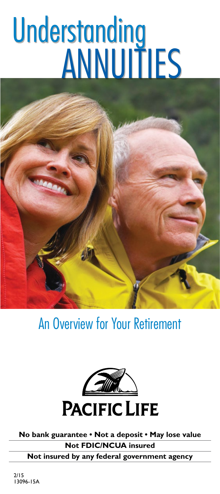# **Understanding** annuities



An Overview for Your Retirement



**No bank guarantee • Not a deposit • May lose value Not FDIC/NCUA insured**

**Not insured by any federal government agency**

2/15 13096-15A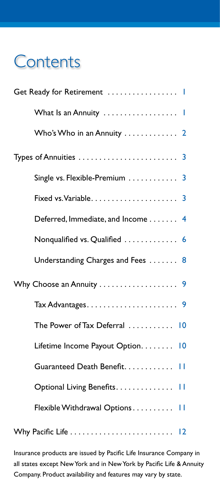# **Contents**

| What Is an Annuity                                   |  |
|------------------------------------------------------|--|
| Who's Who in an Annuity  2                           |  |
|                                                      |  |
| Single vs. Flexible-Premium $\ldots \ldots \ldots$ 3 |  |
|                                                      |  |
| Deferred, Immediate, and Income 4                    |  |
| Nonqualified vs. Qualified  6                        |  |
| Understanding Charges and Fees  8                    |  |
|                                                      |  |
|                                                      |  |
| The Power of Tax Deferral  10                        |  |
| Lifetime Income Payout Option 10                     |  |
| Guaranteed Death Benefit. 11                         |  |
| Optional Living Benefits. 11                         |  |
| Flexible Withdrawal Options 11                       |  |
|                                                      |  |

Insurance products are issued by Pacific Life Insurance Company in all states except New York and in New York by Pacific Life & Annuity Company. Product availability and features may vary by state.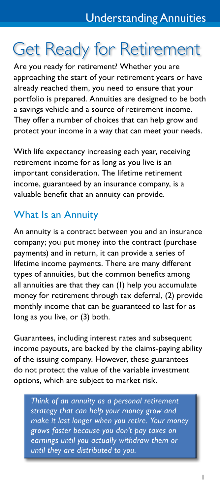# Get Ready for Retirement

Are you ready for retirement? Whether you are approaching the start of your retirement years or have already reached them, you need to ensure that your portfolio is prepared. Annuities are designed to be both a savings vehicle and a source of retirement income. They offer a number of choices that can help grow and protect your income in a way that can meet your needs.

With life expectancy increasing each year, receiving retirement income for as long as you live is an important consideration. The lifetime retirement income, guaranteed by an insurance company, is a valuable benefit that an annuity can provide.

# What Is an Annuity

An annuity is a contract between you and an insurance company; you put money into the contract (purchase payments) and in return, it can provide a series of lifetime income payments. There are many different types of annuities, but the common benefits among all annuities are that they can (1) help you accumulate money for retirement through tax deferral, (2) provide monthly income that can be guaranteed to last for as long as you live, or (3) both.

Guarantees, including interest rates and subsequent income payouts, are backed by the claims-paying ability of the issuing company. However, these guarantees do not protect the value of the variable investment options, which are subject to market risk.

*Think of an annuity as a personal retirement strategy that can help your money grow and make it last longer when you retire. Your money grows faster because you don't pay taxes on earnings until you actually withdraw them or until they are distributed to you.*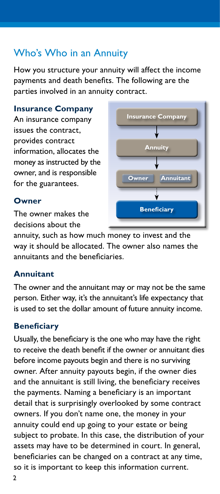# Who's Who in an Annuity

How you structure your annuity will affect the income payments and death benefits. The following are the parties involved in an annuity contract.

#### **Insurance Company**

An insurance company issues the contract, provides contract information, allocates the money as instructed by the owner, and is responsible for the guarantees.

#### **Owner**

The owner makes the decisions about the



annuity, such as how much money to invest and the way it should be allocated. The owner also names the annuitants and the beneficiaries.

#### **Annuitant**

The owner and the annuitant may or may not be the same person. Either way, it's the annuitant's life expectancy that is used to set the dollar amount of future annuity income.

#### **Beneficiary**

Usually, the beneficiary is the one who may have the right to receive the death benefit if the owner or annuitant dies before income payouts begin and there is no surviving owner. After annuity payouts begin, if the owner dies and the annuitant is still living, the beneficiary receives the payments. Naming a beneficiary is an important detail that is surprisingly overlooked by some contract owners. If you don't name one, the money in your annuity could end up going to your estate or being subject to probate. In this case, the distribution of your assets may have to be determined in court. In general, beneficiaries can be changed on a contract at any time, so it is important to keep this information current.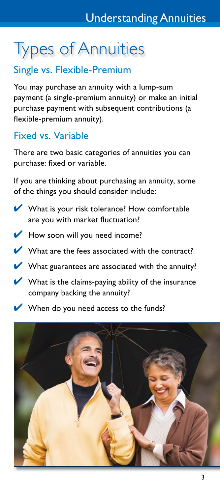# Types of Annuities

# Single vs. Flexible-Premium

You may purchase an annuity with a lump-sum payment (a single-premium annuity) or make an initial purchase payment with subsequent contributions (a flexible-premium annuity).

# Fixed vs. Variable

There are two basic categories of annuities you can purchase: fixed or variable.

If you are thinking about purchasing an annuity, some of the things you should consider include:

- $\nu$  What is your risk tolerance? How comfortable are you with market fluctuation?
- $\blacktriangleright$  How soon will you need income?
- $\nu$  What are the fees associated with the contract?
- $\blacktriangleright$  What guarantees are associated with the annuity?
- $\blacktriangleright$  What is the claims-paying ability of the insurance company backing the annuity?
- **When do you need access to the funds?**

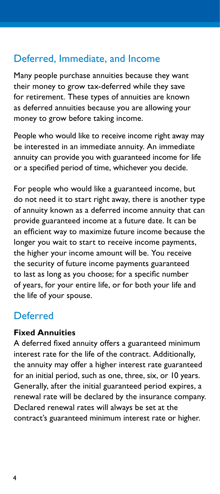## Deferred, Immediate, and Income

Many people purchase annuities because they want their money to grow tax-deferred while they save for retirement. These types of annuities are known as deferred annuities because you are allowing your money to grow before taking income.

People who would like to receive income right away may be interested in an immediate annuity. An immediate annuity can provide you with guaranteed income for life or a specified period of time, whichever you decide.

For people who would like a guaranteed income, but do not need it to start right away, there is another type of annuity known as a deferred income annuity that can provide guaranteed income at a future date. It can be an efficient way to maximize future income because the longer you wait to start to receive income payments, the higher your income amount will be. You receive the security of future income payments guaranteed to last as long as you choose; for a specific number of years, for your entire life, or for both your life and the life of your spouse.

#### Deferred

#### **Fixed Annuities**

A deferred fixed annuity offers a guaranteed minimum interest rate for the life of the contract. Additionally, the annuity may offer a higher interest rate guaranteed for an initial period, such as one, three, six, or 10 years. Generally, after the initial guaranteed period expires, a renewal rate will be declared by the insurance company. Declared renewal rates will always be set at the contract's guaranteed minimum interest rate or higher.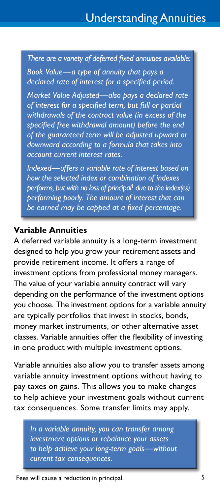*There are a variety of deferred fixed annuities available:* 

*Book Value—a type of annuity that pays a declared rate of interest for a specified period.*

*Market Value Adjusted—also pays a declared rate of interest for a specified term, but full or partial withdrawals of the contract value (in excess of the specified free withdrawal amount) before the end of the guaranteed term will be adjusted upward or downward according to a formula that takes into account current interest rates.*

*Indexed—offers a variable rate of interest based on how the selected index or combination of indexes performs, but with no loss of principal<sup>1</sup> due to the index(es) performing poorly. The amount of interest that can be earned may be capped at a fixed percentage.*

#### **Variable Annuities**

A deferred variable annuity is a long-term investment designed to help you grow your retirement assets and provide retirement income. It offers a range of investment options from professional money managers. The value of your variable annuity contract will vary depending on the performance of the investment options you choose. The investment options for a variable annuity are typically portfolios that invest in stocks, bonds, money market instruments, or other alternative asset classes. Variable annuities offer the flexibility of investing in one product with multiple investment options.

Variable annuities also allow you to transfer assets among variable annuity investment options without having to pay taxes on gains. This allows you to make changes to help achieve your investment goals without current tax consequences. Some transfer limits may apply.

*In a variable annuity, you can transfer among investment options or rebalance your assets to help achieve your long-term goals—without current tax consequences.*

<sup>1</sup>Fees will cause a reduction in principal.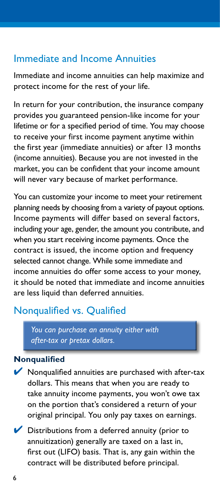#### Immediate and Income Annuities

Immediate and income annuities can help maximize and protect income for the rest of your life.

In return for your contribution, the insurance company provides you guaranteed pension-like income for your lifetime or for a specified period of time. You may choose to receive your first income payment anytime within the first year (immediate annuities) or after 13 months (income annuities). Because you are not invested in the market, you can be confident that your income amount will never vary because of market performance.

You can customize your income to meet your retirement planning needs by choosing from a variety of payout options. Income payments will differ based on several factors, including your age, gender, the amount you contribute, and when you start receiving income payments. Once the contract is issued, the income option and frequency selected cannot change. While some immediate and income annuities do offer some access to your money, it should be noted that immediate and income annuities are less liquid than deferred annuities.

# Nonqualified vs. Qualified

*You can purchase an annuity either with after-tax or pretax dollars.*

#### **Nonqualified**

- $\blacktriangleright$  Nonqualified annuities are purchased with after-tax dollars. This means that when you are ready to take annuity income payments, you won't owe tax on the portion that's considered a return of your original principal. You only pay taxes on earnings.
- $\triangleright$  Distributions from a deferred annuity (prior to annuitization) generally are taxed on a last in, first out (LIFO) basis. That is, any gain within the contract will be distributed before principal.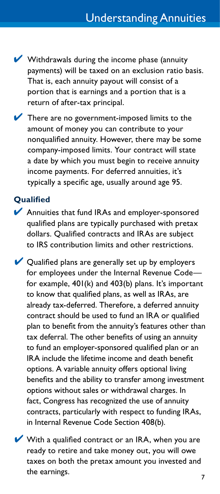- $\vee$  Withdrawals during the income phase (annuity payments) will be taxed on an exclusion ratio basis. That is, each annuity payout will consist of a portion that is earnings and a portion that is a return of after-tax principal.
- $\blacktriangleright$  There are no government-imposed limits to the amount of money you can contribute to your nonqualified annuity. However, there may be some company-imposed limits. Your contract will state a date by which you must begin to receive annuity income payments. For deferred annuities, it's typically a specific age, usually around age 95.

#### **Qualified**

- ◆ Annuities that fund IRAs and employer-sponsored qualified plans are typically purchased with pretax dollars. Qualified contracts and IRAs are subject to IRS contribution limits and other restrictions.
- $\vee$  Qualified plans are generally set up by employers for employees under the Internal Revenue Code for example, 401(k) and 403(b) plans. It's important to know that qualified plans, as well as IRAs, are already tax-deferred. Therefore, a deferred annuity contract should be used to fund an IRA or qualified plan to benefit from the annuity's features other than tax deferral. The other benefits of using an annuity to fund an employer-sponsored qualified plan or an IRA include the lifetime income and death benefit options. A variable annuity offers optional living benefits and the ability to transfer among investment options without sales or withdrawal charges. In fact, Congress has recognized the use of annuity contracts, particularly with respect to funding IRAs, in Internal Revenue Code Section 408(b).
- $\blacktriangleright$  With a qualified contract or an IRA, when you are ready to retire and take money out, you will owe taxes on both the pretax amount you invested and the earnings.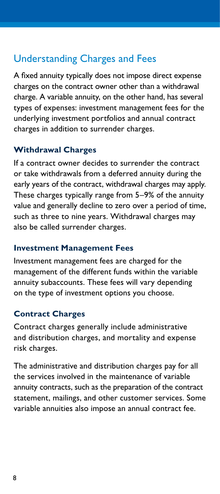# Understanding Charges and Fees

A fixed annuity typically does not impose direct expense charges on the contract owner other than a withdrawal charge. A variable annuity, on the other hand, has several types of expenses: investment management fees for the underlying investment portfolios and annual contract charges in addition to surrender charges.

#### **Withdrawal Charges**

If a contract owner decides to surrender the contract or take withdrawals from a deferred annuity during the early years of the contract, withdrawal charges may apply. These charges typically range from 5–9% of the annuity value and generally decline to zero over a period of time, such as three to nine years. Withdrawal charges may also be called surrender charges.

#### **Investment Management Fees**

Investment management fees are charged for the management of the different funds within the variable annuity subaccounts. These fees will vary depending on the type of investment options you choose.

#### **Contract Charges**

Contract charges generally include administrative and distribution charges, and mortality and expense risk charges.

The administrative and distribution charges pay for all the services involved in the maintenance of variable annuity contracts, such as the preparation of the contract statement, mailings, and other customer services. Some variable annuities also impose an annual contract fee.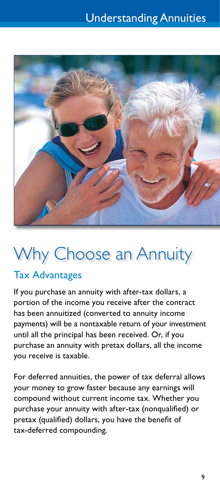

# Why Choose an Annuity

### Tax Advantages

If you purchase an annuity with after-tax dollars, a portion of the income you receive after the contract has been annuitized (converted to annuity income payments) will be a nontaxable return of your investment until all the principal has been received. Or, if you purchase an annuity with pretax dollars, all the income you receive is taxable.

For deferred annuities, the power of tax deferral allows your money to grow faster because any earnings will compound without current income tax. Whether you purchase your annuity with after-tax (nonqualified) or pretax (qualified) dollars, you have the benefit of tax-deferred compounding.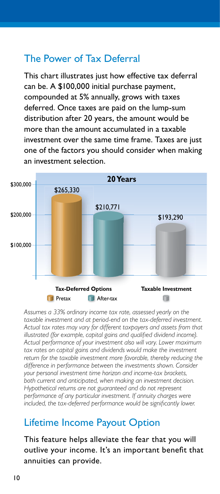## The Power of Tax Deferral

This chart illustrates just how effective tax deferral can be. A \$100,000 initial purchase payment, compounded at 5% annually, grows with taxes deferred. Once taxes are paid on the lump-sum distribution after 20 years, the amount would be more than the amount accumulated in a taxable investment over the same time frame. Taxes are just one of the factors you should consider when making an investment selection.



*Assumes a 33% ordinary income tax rate, assessed yearly on the*  taxable investment and at period-end on the tax-deferred investment. *Actual tax rates may vary for different taxpayers and assets from that illustrated (for example, capital gains and qualified dividend income). Actual performance of your investment also will vary. Lower maximum*  tax rates on capital gains and dividends would make the investment *return for the taxable investment more favorable, thereby reducing the difference in performance between the investments shown. Consider your personal investment time horizon and income-tax brackets, both current and anticipated, when making an investment decision. Hypothetical returns are not guaranteed and do not represent performance of any particular investment. If annuity charges were included, the tax-deferred performance would be significantly lower.*

### Lifetime Income Payout Option

This feature helps alleviate the fear that you will outlive your income. It's an important benefit that annuities can provide.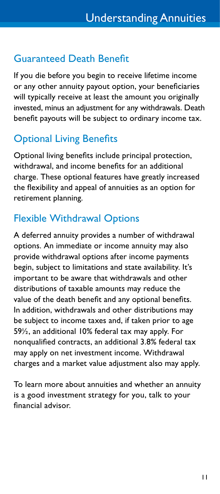## Guaranteed Death Benefit

If you die before you begin to receive lifetime income or any other annuity payout option, your beneficiaries will typically receive at least the amount you originally invested, minus an adjustment for any withdrawals. Death benefit payouts will be subject to ordinary income tax.

# Optional Living Benefits

Optional living benefits include principal protection, withdrawal, and income benefits for an additional charge. These optional features have greatly increased the flexibility and appeal of annuities as an option for retirement planning.

# Flexible Withdrawal Options

A deferred annuity provides a number of withdrawal options. An immediate or income annuity may also provide withdrawal options after income payments begin, subject to limitations and state availability. It's important to be aware that withdrawals and other distributions of taxable amounts may reduce the value of the death benefit and any optional benefits. In addition, withdrawals and other distributions may be subject to income taxes and, if taken prior to age 59½, an additional 10% federal tax may apply. For nonqualified contracts, an additional 3.8% federal tax may apply on net investment income. Withdrawal charges and a market value adjustment also may apply.

To learn more about annuities and whether an annuity is a good investment strategy for you, talk to your financial advisor.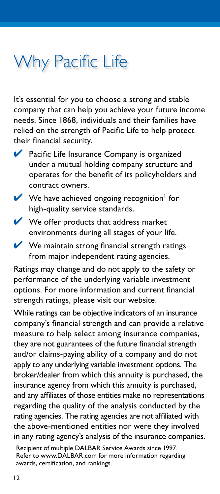# Why Pacific Life

It's essential for you to choose a strong and stable company that can help you achieve your future income needs. Since 1868, individuals and their families have relied on the strength of Pacific Life to help protect their financial security.

- ◆ Pacific Life Insurance Company is organized under a mutual holding company structure and operates for the benefit of its policyholders and contract owners.
- $\vee$  We have achieved ongoing recognition<sup>1</sup> for high-quality service standards.
- $\vee$  We offer products that address market environments during all stages of your life.
- $\blacktriangleright$  We maintain strong financial strength ratings from major independent rating agencies.

Ratings may change and do not apply to the safety or performance of the underlying variable investment options. For more information and current financial strength ratings, please visit our website.

While ratings can be objective indicators of an insurance company's financial strength and can provide a relative measure to help select among insurance companies, they are not guarantees of the future financial strength and/or claims-paying ability of a company and do not apply to any underlying variable investment options. The broker/dealer from which this annuity is purchased, the insurance agency from which this annuity is purchased, and any affiliates of those entities make no representations regarding the quality of the analysis conducted by the rating agencies. The rating agencies are not affiliated with the above-mentioned entities nor were they involved in any rating agency's analysis of the insurance companies.

<sup>&</sup>lt;sup>1</sup>Recipient of multiple DALBAR Service Awards since 1997. Refer to www.DALBAR.com for more information regarding awards, certification, and rankings.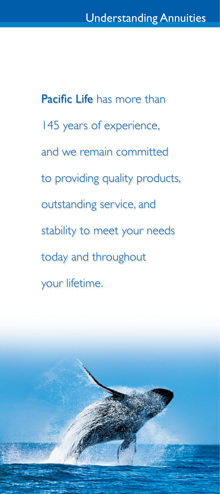Pacific Life has more than 145 years of experience, and we remain committed to providing quality products, outstanding service, and stability to meet your needs today and throughout your lifetime.